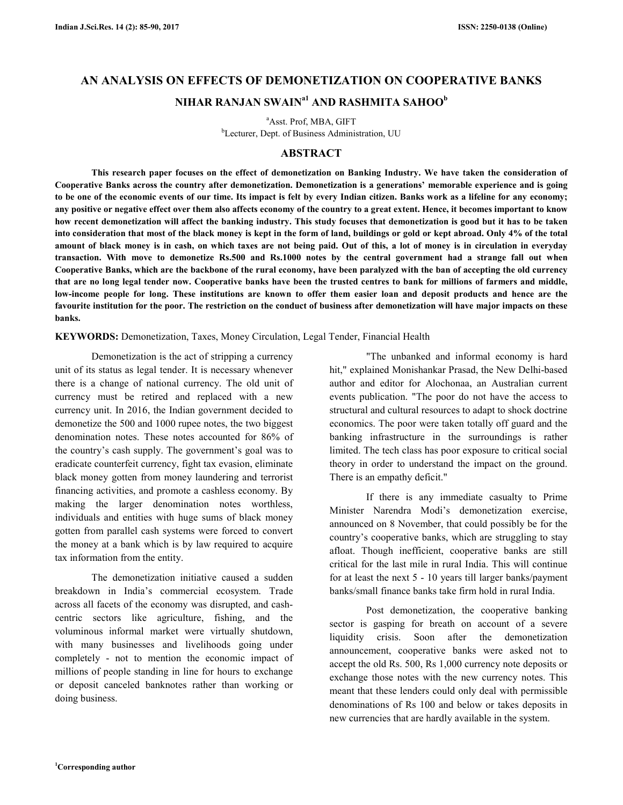# **AN ANALYSIS ON EFFECTS OF DEMONETIZATION ON COOPERATIVE BANKS NIHAR RANJAN SWAINa1 AND RASHMITA SAHOO<sup>b</sup>**

<sup>a</sup>Asst. Prof, MBA, GIFT <sup>b</sup>Lecturer, Dept. of Business Administration, UU

### **ABSTRACT**

 **This research paper focuses on the effect of demonetization on Banking Industry. We have taken the consideration of Cooperative Banks across the country after demonetization. Demonetization is a generations' memorable experience and is going to be one of the economic events of our time. Its impact is felt by every Indian citizen. Banks work as a lifeline for any economy; any positive or negative effect over them also affects economy of the country to a great extent. Hence, it becomes important to know how recent demonetization will affect the banking industry. This study focuses that demonetization is good but it has to be taken into consideration that most of the black money is kept in the form of land, buildings or gold or kept abroad. Only 4% of the total amount of black money is in cash, on which taxes are not being paid. Out of this, a lot of money is in circulation in everyday transaction. With move to demonetize Rs.500 and Rs.1000 notes by the central government had a strange fall out when Cooperative Banks, which are the backbone of the rural economy, have been paralyzed with the ban of accepting the old currency that are no long legal tender now. Cooperative banks have been the trusted centres to bank for millions of farmers and middle, low-income people for long. These institutions are known to offer them easier loan and deposit products and hence are the favourite institution for the poor. The restriction on the conduct of business after demonetization will have major impacts on these banks.** 

**KEYWORDS:** Demonetization, Taxes, Money Circulation, Legal Tender, Financial Health

Demonetization is the act of stripping a currency unit of its status as legal tender. It is necessary whenever there is a change of national currency. The old unit of currency must be retired and replaced with a new currency unit. In 2016, the Indian government decided to demonetize the 500 and 1000 rupee notes, the two biggest denomination notes. These notes accounted for 86% of the country's cash supply. The government's goal was to eradicate counterfeit currency, fight tax evasion, eliminate black money gotten from money laundering and terrorist financing activities, and promote a cashless economy. By making the larger denomination notes worthless, individuals and entities with huge sums of black money gotten from parallel cash systems were forced to convert the money at a bank which is by law required to acquire tax information from the entity.

 The demonetization initiative caused a sudden breakdown in India's commercial ecosystem. Trade across all facets of the economy was disrupted, and cashcentric sectors like agriculture, fishing, and the voluminous informal market were virtually shutdown, with many businesses and livelihoods going under completely - not to mention the economic impact of millions of people standing in line for hours to exchange or deposit canceled banknotes rather than working or doing business.

 "The unbanked and informal economy is hard hit," explained Monishankar Prasad, the New Delhi-based author and editor for Alochonaa, an Australian current events publication. "The poor do not have the access to structural and cultural resources to adapt to shock doctrine economics. The poor were taken totally off guard and the banking infrastructure in the surroundings is rather limited. The tech class has poor exposure to critical social theory in order to understand the impact on the ground. There is an empathy deficit."

 If there is any immediate casualty to Prime Minister Narendra Modi's demonetization exercise, announced on 8 November, that could possibly be for the country's cooperative banks, which are struggling to stay afloat. Though inefficient, cooperative banks are still critical for the last mile in rural India. This will continue for at least the next 5 - 10 years till larger banks/payment banks/small finance banks take firm hold in rural India.

 Post demonetization, the cooperative banking sector is gasping for breath on account of a severe liquidity crisis. Soon after the demonetization announcement, cooperative banks were asked not to accept the old Rs. 500, Rs 1,000 currency note deposits or exchange those notes with the new currency notes. This meant that these lenders could only deal with permissible denominations of Rs 100 and below or takes deposits in new currencies that are hardly available in the system.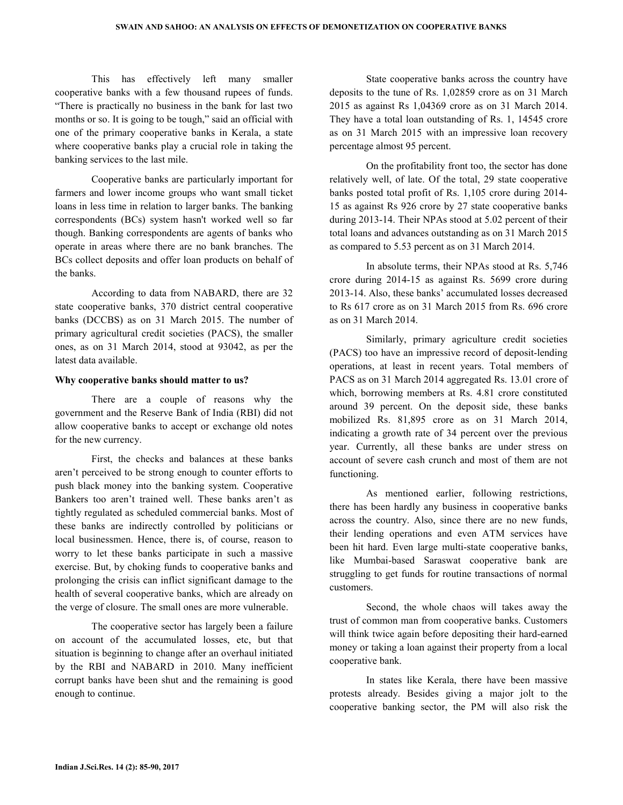This has effectively left many smaller cooperative banks with a few thousand rupees of funds. "There is practically no business in the bank for last two months or so. It is going to be tough," said an official with one of the primary cooperative banks in Kerala, a state where cooperative banks play a crucial role in taking the banking services to the last mile.

 Cooperative banks are particularly important for farmers and lower income groups who want small ticket loans in less time in relation to larger banks. The banking correspondents (BCs) system hasn't worked well so far though. Banking correspondents are agents of banks who operate in areas where there are no bank branches. The BCs collect deposits and offer loan products on behalf of the banks.

 According to data from NABARD, there are 32 state cooperative banks, 370 district central cooperative banks (DCCBS) as on 31 March 2015. The number of primary agricultural credit societies (PACS), the smaller ones, as on 31 March 2014, stood at 93042, as per the latest data available.

#### **Why cooperative banks should matter to us?**

 There are a couple of reasons why the government and the Reserve Bank of India (RBI) did not allow cooperative banks to accept or exchange old notes for the new currency.

 First, the checks and balances at these banks aren't perceived to be strong enough to counter efforts to push black money into the banking system. Cooperative Bankers too aren't trained well. These banks aren't as tightly regulated as scheduled commercial banks. Most of these banks are indirectly controlled by politicians or local businessmen. Hence, there is, of course, reason to worry to let these banks participate in such a massive exercise. But, by choking funds to cooperative banks and prolonging the crisis can inflict significant damage to the health of several cooperative banks, which are already on the verge of closure. The small ones are more vulnerable.

 The cooperative sector has largely been a failure on account of the accumulated losses, etc, but that situation is beginning to change after an overhaul initiated by the RBI and NABARD in 2010. Many inefficient corrupt banks have been shut and the remaining is good enough to continue.

 State cooperative banks across the country have deposits to the tune of Rs. 1,02859 crore as on 31 March 2015 as against Rs 1,04369 crore as on 31 March 2014. They have a total loan outstanding of Rs. 1, 14545 crore as on 31 March 2015 with an impressive loan recovery percentage almost 95 percent.

 On the profitability front too, the sector has done relatively well, of late. Of the total, 29 state cooperative banks posted total profit of Rs. 1,105 crore during 2014- 15 as against Rs 926 crore by 27 state cooperative banks during 2013-14. Their NPAs stood at 5.02 percent of their total loans and advances outstanding as on 31 March 2015 as compared to 5.53 percent as on 31 March 2014.

 In absolute terms, their NPAs stood at Rs. 5,746 crore during 2014-15 as against Rs. 5699 crore during 2013-14. Also, these banks' accumulated losses decreased to Rs 617 crore as on 31 March 2015 from Rs. 696 crore as on 31 March 2014.

 Similarly, primary agriculture credit societies (PACS) too have an impressive record of deposit-lending operations, at least in recent years. Total members of PACS as on 31 March 2014 aggregated Rs. 13.01 crore of which, borrowing members at Rs. 4.81 crore constituted around 39 percent. On the deposit side, these banks mobilized Rs. 81,895 crore as on 31 March 2014, indicating a growth rate of 34 percent over the previous year. Currently, all these banks are under stress on account of severe cash crunch and most of them are not functioning.

 As mentioned earlier, following restrictions, there has been hardly any business in cooperative banks across the country. Also, since there are no new funds, their lending operations and even ATM services have been hit hard. Even large multi-state cooperative banks, like Mumbai-based Saraswat cooperative bank are struggling to get funds for routine transactions of normal customers.

 Second, the whole chaos will takes away the trust of common man from cooperative banks. Customers will think twice again before depositing their hard-earned money or taking a loan against their property from a local cooperative bank.

 In states like Kerala, there have been massive protests already. Besides giving a major jolt to the cooperative banking sector, the PM will also risk the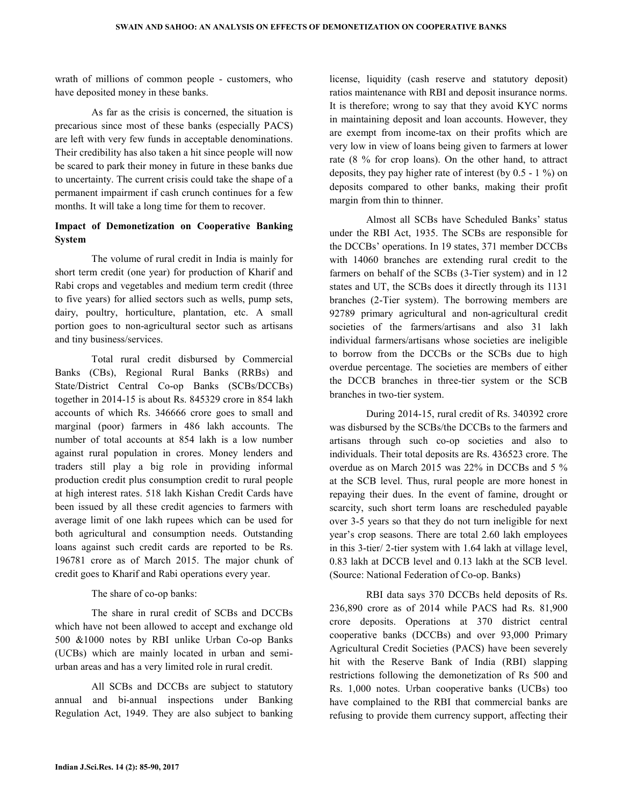wrath of millions of common people - customers, who have deposited money in these banks.

 As far as the crisis is concerned, the situation is precarious since most of these banks (especially PACS) are left with very few funds in acceptable denominations. Their credibility has also taken a hit since people will now be scared to park their money in future in these banks due to uncertainty. The current crisis could take the shape of a permanent impairment if cash crunch continues for a few months. It will take a long time for them to recover.

#### **Impact of Demonetization on Cooperative Banking System**

 The volume of rural credit in India is mainly for short term credit (one year) for production of Kharif and Rabi crops and vegetables and medium term credit (three to five years) for allied sectors such as wells, pump sets, dairy, poultry, horticulture, plantation, etc. A small portion goes to non-agricultural sector such as artisans and tiny business/services.

 Total rural credit disbursed by Commercial Banks (CBs), Regional Rural Banks (RRBs) and State/District Central Co-op Banks (SCBs/DCCBs) together in 2014-15 is about Rs. 845329 crore in 854 lakh accounts of which Rs. 346666 crore goes to small and marginal (poor) farmers in 486 lakh accounts. The number of total accounts at 854 lakh is a low number against rural population in crores. Money lenders and traders still play a big role in providing informal production credit plus consumption credit to rural people at high interest rates. 518 lakh Kishan Credit Cards have been issued by all these credit agencies to farmers with average limit of one lakh rupees which can be used for both agricultural and consumption needs. Outstanding loans against such credit cards are reported to be Rs. 196781 crore as of March 2015. The major chunk of credit goes to Kharif and Rabi operations every year.

The share of co-op banks:

 The share in rural credit of SCBs and DCCBs which have not been allowed to accept and exchange old 500 &1000 notes by RBI unlike Urban Co-op Banks (UCBs) which are mainly located in urban and semiurban areas and has a very limited role in rural credit.

 All SCBs and DCCBs are subject to statutory annual and bi-annual inspections under Banking Regulation Act, 1949. They are also subject to banking

license, liquidity (cash reserve and statutory deposit) ratios maintenance with RBI and deposit insurance norms. It is therefore; wrong to say that they avoid KYC norms in maintaining deposit and loan accounts. However, they are exempt from income-tax on their profits which are very low in view of loans being given to farmers at lower rate (8 % for crop loans). On the other hand, to attract deposits, they pay higher rate of interest (by 0.5 - 1 %) on deposits compared to other banks, making their profit margin from thin to thinner.

 Almost all SCBs have Scheduled Banks' status under the RBI Act, 1935. The SCBs are responsible for the DCCBs' operations. In 19 states, 371 member DCCBs with 14060 branches are extending rural credit to the farmers on behalf of the SCBs (3-Tier system) and in 12 states and UT, the SCBs does it directly through its 1131 branches (2-Tier system). The borrowing members are 92789 primary agricultural and non-agricultural credit societies of the farmers/artisans and also 31 lakh individual farmers/artisans whose societies are ineligible to borrow from the DCCBs or the SCBs due to high overdue percentage. The societies are members of either the DCCB branches in three-tier system or the SCB branches in two-tier system.

 During 2014-15, rural credit of Rs. 340392 crore was disbursed by the SCBs/the DCCBs to the farmers and artisans through such co-op societies and also to individuals. Their total deposits are Rs. 436523 crore. The overdue as on March 2015 was 22% in DCCBs and 5 % at the SCB level. Thus, rural people are more honest in repaying their dues. In the event of famine, drought or scarcity, such short term loans are rescheduled payable over 3-5 years so that they do not turn ineligible for next year's crop seasons. There are total 2.60 lakh employees in this 3-tier/ 2-tier system with 1.64 lakh at village level, 0.83 lakh at DCCB level and 0.13 lakh at the SCB level. (Source: National Federation of Co-op. Banks)

 RBI data says 370 DCCBs held deposits of Rs. 236,890 crore as of 2014 while PACS had Rs. 81,900 crore deposits. Operations at 370 district central cooperative banks (DCCBs) and over 93,000 Primary Agricultural Credit Societies (PACS) have been severely hit with the Reserve Bank of India (RBI) slapping restrictions following the demonetization of Rs 500 and Rs. 1,000 notes. Urban cooperative banks (UCBs) too have complained to the RBI that commercial banks are refusing to provide them currency support, affecting their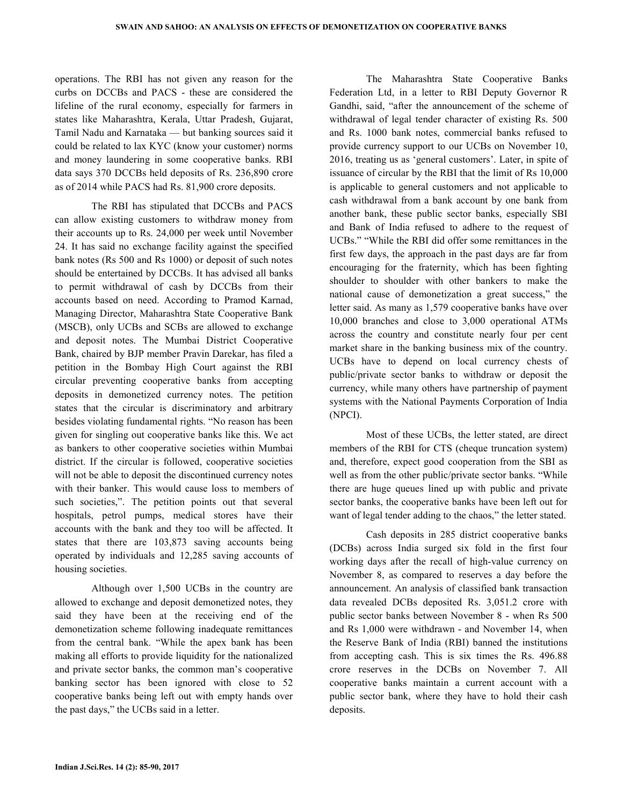operations. The RBI has not given any reason for the curbs on DCCBs and PACS - these are considered the lifeline of the rural economy, especially for farmers in states like Maharashtra, Kerala, Uttar Pradesh, Gujarat, Tamil Nadu and Karnataka — but banking sources said it could be related to lax KYC (know your customer) norms and money laundering in some cooperative banks. RBI data says 370 DCCBs held deposits of Rs. 236,890 crore as of 2014 while PACS had Rs. 81,900 crore deposits.

 The RBI has stipulated that DCCBs and PACS can allow existing customers to withdraw money from their accounts up to Rs. 24,000 per week until November 24. It has said no exchange facility against the specified bank notes (Rs 500 and Rs 1000) or deposit of such notes should be entertained by DCCBs. It has advised all banks to permit withdrawal of cash by DCCBs from their accounts based on need. According to Pramod Karnad, Managing Director, Maharashtra State Cooperative Bank (MSCB), only UCBs and SCBs are allowed to exchange and deposit notes. The Mumbai District Cooperative Bank, chaired by BJP member Pravin Darekar, has filed a petition in the Bombay High Court against the RBI circular preventing cooperative banks from accepting deposits in demonetized currency notes. The petition states that the circular is discriminatory and arbitrary besides violating fundamental rights. "No reason has been given for singling out cooperative banks like this. We act as bankers to other cooperative societies within Mumbai district. If the circular is followed, cooperative societies will not be able to deposit the discontinued currency notes with their banker. This would cause loss to members of such societies,". The petition points out that several hospitals, petrol pumps, medical stores have their accounts with the bank and they too will be affected. It states that there are 103,873 saving accounts being operated by individuals and 12,285 saving accounts of housing societies.

 Although over 1,500 UCBs in the country are allowed to exchange and deposit demonetized notes, they said they have been at the receiving end of the demonetization scheme following inadequate remittances from the central bank. "While the apex bank has been making all efforts to provide liquidity for the nationalized and private sector banks, the common man's cooperative banking sector has been ignored with close to 52 cooperative banks being left out with empty hands over the past days," the UCBs said in a letter.

 The Maharashtra State Cooperative Banks Federation Ltd, in a letter to RBI Deputy Governor R Gandhi, said, "after the announcement of the scheme of withdrawal of legal tender character of existing Rs. 500 and Rs. 1000 bank notes, commercial banks refused to provide currency support to our UCBs on November 10, 2016, treating us as 'general customers'. Later, in spite of issuance of circular by the RBI that the limit of Rs 10,000 is applicable to general customers and not applicable to cash withdrawal from a bank account by one bank from another bank, these public sector banks, especially SBI and Bank of India refused to adhere to the request of UCBs." "While the RBI did offer some remittances in the first few days, the approach in the past days are far from encouraging for the fraternity, which has been fighting shoulder to shoulder with other bankers to make the national cause of demonetization a great success," the letter said. As many as 1,579 cooperative banks have over 10,000 branches and close to 3,000 operational ATMs across the country and constitute nearly four per cent market share in the banking business mix of the country. UCBs have to depend on local currency chests of public/private sector banks to withdraw or deposit the currency, while many others have partnership of payment systems with the National Payments Corporation of India (NPCI).

 Most of these UCBs, the letter stated, are direct members of the RBI for CTS (cheque truncation system) and, therefore, expect good cooperation from the SBI as well as from the other public/private sector banks. "While there are huge queues lined up with public and private sector banks, the cooperative banks have been left out for want of legal tender adding to the chaos," the letter stated.

 Cash deposits in 285 district cooperative banks (DCBs) across India surged six fold in the first four working days after the recall of high-value currency on November 8, as compared to reserves a day before the announcement. An analysis of classified bank transaction data revealed DCBs deposited Rs. 3,051.2 crore with public sector banks between November 8 - when Rs 500 and Rs 1,000 were withdrawn - and November 14, when the Reserve Bank of India (RBI) banned the institutions from accepting cash. This is six times the Rs. 496.88 crore reserves in the DCBs on November 7. All cooperative banks maintain a current account with a public sector bank, where they have to hold their cash deposits.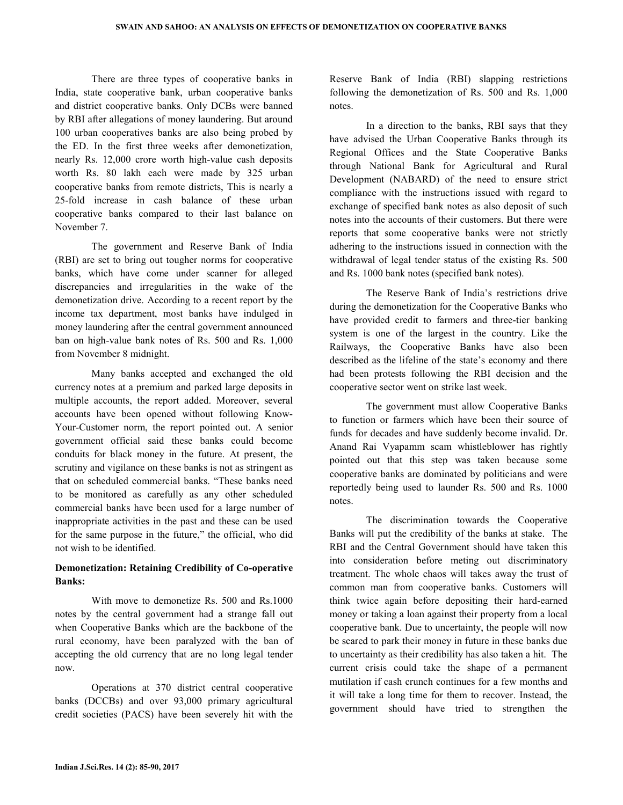There are three types of cooperative banks in India, state cooperative bank, urban cooperative banks and district cooperative banks. Only DCBs were banned by RBI after allegations of money laundering. But around 100 urban cooperatives banks are also being probed by the ED. In the first three weeks after demonetization, nearly Rs. 12,000 crore worth high-value cash deposits worth Rs. 80 lakh each were made by 325 urban cooperative banks from remote districts, This is nearly a 25-fold increase in cash balance of these urban cooperative banks compared to their last balance on November 7.

 The government and Reserve Bank of India (RBI) are set to bring out tougher norms for cooperative banks, which have come under scanner for alleged discrepancies and irregularities in the wake of the demonetization drive. According to a recent report by the income tax department, most banks have indulged in money laundering after the central government announced ban on high-value bank notes of Rs. 500 and Rs. 1,000 from November 8 midnight.

 Many banks accepted and exchanged the old currency notes at a premium and parked large deposits in multiple accounts, the report added. Moreover, several accounts have been opened without following Know-Your-Customer norm, the report pointed out. A senior government official said these banks could become conduits for black money in the future. At present, the scrutiny and vigilance on these banks is not as stringent as that on scheduled commercial banks. "These banks need to be monitored as carefully as any other scheduled commercial banks have been used for a large number of inappropriate activities in the past and these can be used for the same purpose in the future," the official, who did not wish to be identified.

## **Demonetization: Retaining Credibility of Co-operative Banks:**

 With move to demonetize Rs. 500 and Rs.1000 notes by the central government had a strange fall out when Cooperative Banks which are the backbone of the rural economy, have been paralyzed with the ban of accepting the old currency that are no long legal tender now.

 Operations at 370 district central cooperative banks (DCCBs) and over 93,000 primary agricultural credit societies (PACS) have been severely hit with the

Reserve Bank of India (RBI) slapping restrictions following the demonetization of Rs. 500 and Rs. 1,000 notes.

 In a direction to the banks, RBI says that they have advised the Urban Cooperative Banks through its Regional Offices and the State Cooperative Banks through National Bank for Agricultural and Rural Development (NABARD) of the need to ensure strict compliance with the instructions issued with regard to exchange of specified bank notes as also deposit of such notes into the accounts of their customers. But there were reports that some cooperative banks were not strictly adhering to the instructions issued in connection with the withdrawal of legal tender status of the existing Rs. 500 and Rs. 1000 bank notes (specified bank notes).

 The Reserve Bank of India's restrictions drive during the demonetization for the Cooperative Banks who have provided credit to farmers and three-tier banking system is one of the largest in the country. Like the Railways, the Cooperative Banks have also been described as the lifeline of the state's economy and there had been protests following the RBI decision and the cooperative sector went on strike last week.

 The government must allow Cooperative Banks to function or farmers which have been their source of funds for decades and have suddenly become invalid. Dr. Anand Rai Vyapamm scam whistleblower has rightly pointed out that this step was taken because some cooperative banks are dominated by politicians and were reportedly being used to launder Rs. 500 and Rs. 1000 notes.

 The discrimination towards the Cooperative Banks will put the credibility of the banks at stake. The RBI and the Central Government should have taken this into consideration before meting out discriminatory treatment. The whole chaos will takes away the trust of common man from cooperative banks. Customers will think twice again before depositing their hard-earned money or taking a loan against their property from a local cooperative bank. Due to uncertainty, the people will now be scared to park their money in future in these banks due to uncertainty as their credibility has also taken a hit. The current crisis could take the shape of a permanent mutilation if cash crunch continues for a few months and it will take a long time for them to recover. Instead, the government should have tried to strengthen the